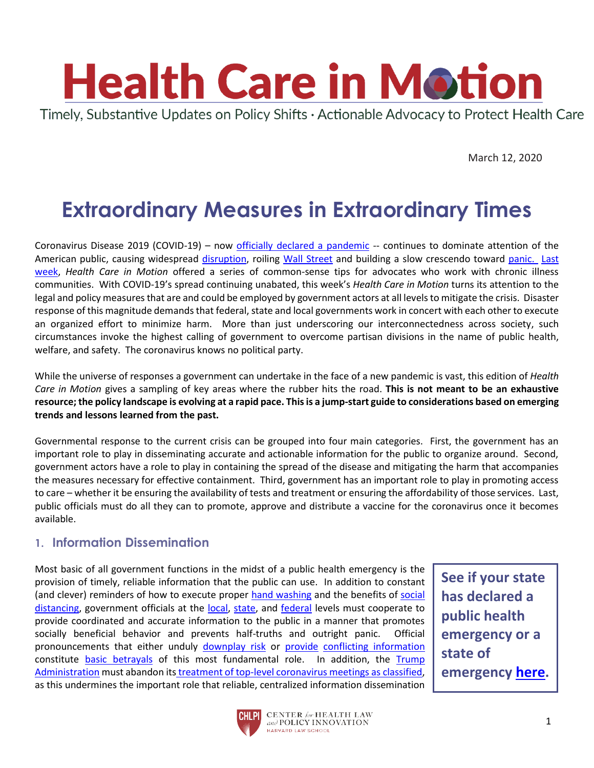

March 12, 2020

# **Extraordinary Measures in Extraordinary Times**

Coronavirus Disease 2019 (COVID-19) – now [officially declared a pandemic](https://twitter.com/WHO/status/1237777021742338049?s=20) -- continues to dominate attention of the American public, causing widespread [disruption,](https://preparedness.columbia.edu/news/update-covid-19-and-class-activity) roiling [Wall Street](https://www.cnn.com/2020/03/10/business/wall-street-coronavirus-shutdown/index.html) and building a slow crescendo toward [panic.](https://www.businessinsider.com.au/coronavirus-medic-warns-mass-panic-could-prove-worse-than-disease-2020-3?r=US&IR=T) [Last](https://www.chlpi.org/wp-content/uploads/2013/12/HCIM_3_5_20.pdf)  [week,](https://www.chlpi.org/wp-content/uploads/2013/12/HCIM_3_5_20.pdf) *Health Care in Motion* offered a series of common-sense tips for advocates who work with chronic illness communities. With COVID-19's spread continuing unabated, this week's *Health Care in Motion* turns its attention to the legal and policy measures that are and could be employed by government actors at all levels to mitigate the crisis. Disaster response of this magnitude demands that federal, state and local governments work in concert with each other to execute an organized effort to minimize harm. More than just underscoring our interconnectedness across society, such circumstances invoke the highest calling of government to overcome partisan divisions in the name of public health, welfare, and safety. The coronavirus knows no political party.

While the universe of responses a government can undertake in the face of a new pandemic is vast, this edition of *Health Care in Motion* gives a sampling of key areas where the rubber hits the road. **This is not meant to be an exhaustive resource; the policy landscape is evolving at a rapid pace. This is a jump-start guide to considerations based on emerging trends and lessons learned from the past.** 

Governmental response to the current crisis can be grouped into four main categories. First, the government has an important role to play in disseminating accurate and actionable information for the public to organize around. Second, government actors have a role to play in containing the spread of the disease and mitigating the harm that accompanies the measures necessary for effective containment. Third, government has an important role to play in promoting access to care – whether it be ensuring the availability of tests and treatment or ensuring the affordability of those services. Last, public officials must do all they can to promote, approve and distribute a vaccine for the coronavirus once it becomes available.

## **1. Information Dissemination**

Most basic of all government functions in the midst of a public health emergency is the provision of timely, reliable information that the public can use. In addition to constant (and clever) reminders of how to execute proper [hand washing](https://www.vox.com/2020/3/9/21162031/wash-your-hands-coronavirus-memes) and the benefits of [social](http://www.cidrap.umn.edu/sites/default/files/public/php/185/185_factsheet_social_distancing.pdf)  [distancing,](http://www.cidrap.umn.edu/sites/default/files/public/php/185/185_factsheet_social_distancing.pdf) government officials at the [local,](https://www.youtube.com/watch?v=Bz-6chyhnxQ) [state,](https://www.youtube.com/watch?v=VriS9yAC5Qc) and [federal](https://www.youtube.com/watch?v=0vwz73d98KE) levels must cooperate to provide coordinated and accurate information to the public in a manner that promotes socially beneficial behavior and prevents half-truths and outright panic. Official pronouncements that either unduly [downplay risk](https://www.npr.org/2020/03/09/813763871/president-trump-has-consistently-downplayed-threat-of-coronavirus) or [provide](https://twitter.com/CoreyCiorciari/status/1237930884789161984?s=20) [conflicting information](https://www.bloomberg.com/news/articles/2020-03-09/trump-s-coronavirus-claims-often-contradicted-by-his-own-experts?utm_campaign=socialflow-organic&utm_source=twitter&cmpid%3D=socialflow-twitter-politics&utm_medium=social&utm_content=politics) constitute [basic betrayals](https://www.cnn.com/videos/health/2020/03/10/anthony-fauci-americans-sot-wh-coronavirus-briefing-vpx.cnn) of this most fundamental role. In addition, the [Trump](https://www.youtube.com/watch?v=mii6NydPiqI)  [Administration](https://www.youtube.com/watch?v=mii6NydPiqI) must abandon its treatment of top-level [coronavirus meetings as classified,](https://www.reuters.com/article/us-health-coronavirus-secrecy-exclusive-idUSKBN20Y2LM) as this undermines the important role that reliable, centralized information dissemination

**See if your state has declared a public health emergency or a state of emergency [here.](https://healthcareready.org/covid19/)**

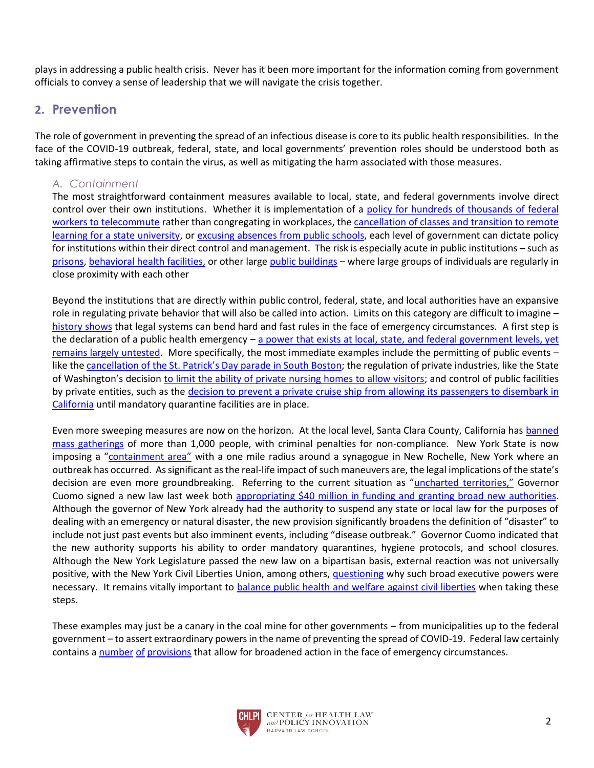plays in addressing a public health crisis. Never has it been more important for the information coming from government officials to convey a sense of leadership that we will navigate the crisis together.

## **2. Prevention**

The role of government in preventing the spread of an infectious disease is core to its public health responsibilities. In the face of the COVID-19 outbreak, federal, state, and local governments' prevention roles should be understood both as taking affirmative steps to contain the virus, as well as mitigating the harm associated with those measures.

## *A. Containment*

The most straightforward containment measures available to local, state, and federal governments involve direct control over their own institutions. Whether it is implementation of a [policy for hundreds of thousands of federal](https://www.washingtonpost.com/politics/trump-administration-now-wants-hundreds-of-thousands-of-federal-workers-to-be-ready-to-telework-to-limit-coronavirus-spread/2020/03/10/ea284a12-620b-11ea-b3fc-7841686c5c57_story.html)  [workers to telecommute](https://www.washingtonpost.com/politics/trump-administration-now-wants-hundreds-of-thousands-of-federal-workers-to-be-ready-to-telework-to-limit-coronavirus-spread/2020/03/10/ea284a12-620b-11ea-b3fc-7841686c5c57_story.html) rather than congregating in workplaces, the [cancellation of classes and transition to remote](https://www.10tv.com/article/ohio-state-canceling-person-classes-until-march-30-over-coronavirus-concerns-2020-mar)  [learning for a state university,](https://www.10tv.com/article/ohio-state-canceling-person-classes-until-march-30-over-coronavirus-concerns-2020-mar) or [excusing absences from public schools,](https://www.seattleschools.org/district/calendars/news/what_s_new/coronavirus_update) each level of government can dictate policy for institutions within their direct control and management. The risk is especially acute in public institutions – such as [prisons,](https://auburnpub.com/news/local/govt-and-politics/ny-prisons-will-screen-visitors-for-coronavirus/article_ca316c2a-4762-5e64-8474-0366ce1c413e.html) [behavioral health facilities,](https://www.thestate.com/news/politics-government/article241032111.html) or other large [public buildings](https://www.cpr.org/2020/03/10/state-lawmakers-ask-what-happens-at-the-capitol-if-coronavirus-spreads/) – where large groups of individuals are regularly in close proximity with each other

Beyond the institutions that are directly within public control, federal, state, and local authorities have an expansive role in regulating private behavior that will also be called into action. Limits on this category are difficult to imagine – [history shows](https://www.gilderlehrman.org/sites/default/files/content-images/06099p1_0.jpg) that legal systems can bend hard and fast rules in the face of emergency circumstances. A first step is the declaration of a public health emergency – [a power that exists at local, state,](https://www.ncbi.nlm.nih.gov/pmc/articles/PMC4151908/) and federal government levels, yet [remains largely untested.](https://www.ncbi.nlm.nih.gov/pmc/articles/PMC4151908/) More specifically, the most immediate examples include the permitting of public events – like the [cancellation of the St. Patrick's Day parade in South Boston](https://www.bostonherald.com/2020/03/09/south-boston-st-patricks-day-parade-canceled-over-coronavirus-concerns/); the regulation of private industries, like the State of Washington's decision [to limit the ability of private nursing homes to allow visitors;](https://www.governor.wa.gov/sites/default/files/proclamations/20-06%20Coronavirus%20%28tmp%29.pdf?utm_medium=email&utm_source=govdelivery) and control of public facilities by private entities, such as the [decision to prevent a private cruise ship from allowing its passengers to disembark in](https://www.usatoday.com/story/travel/cruises/2020/03/10/coronavirus-grand-princess-disembarking-california-updates-caribbean/5008565002/)  [California](https://www.usatoday.com/story/travel/cruises/2020/03/10/coronavirus-grand-princess-disembarking-california-updates-caribbean/5008565002/) until mandatory quarantine facilities are in place.

Even more sweeping measures are now on the horizon. At the local level, Santa Clara County, California has banned [mass gatherings](https://www.politico.com/newsletters/politico-pulse/2020/03/10/it-begins-california-county-bans-mass-gatherings-as-coronavirus-spreads-785971) of more than 1,000 people, with criminal penalties for non-compliance. New York State is now imposing a ["containment area"](https://www.npr.org/sections/health-shots/2020/03/10/814099444/new-york-creates-containment-area-around-cluster-in-new-rochelle) with a one mile radius around a synagogue in New Rochelle, New York where an outbreak has occurred. As significant as the real-life impact of such maneuvers are, the legal implications of the state's decision are even more groundbreaking. Referring to the current situation as "[uncharted te](https://www.youtube.com/watch?v=iJtISQ5GH_k)rritories," Governor Cuomo signed a new law last week both [appropriating \\$40 million in funding and granting broad new authorities.](https://www.governor.ny.gov/news/during-coronavirus-briefing-governor-cuomo-signs-40-million-emergency-management-authorization) Although the governor of New York already had the authority to suspend any state or local law for the purposes of dealing with an emergency or natural disaster, the new provision significantly broadens the definition of "disaster" to include not just past events but also imminent events, including "disease outbreak." Governor Cuomo indicated that the new authority supports his ability to order mandatory quarantines, hygiene protocols, and school closures. Although the New York Legislature passed the new law on a bipartisan basis, external reaction was not universally positive, with the New York Civil Liberties Union, among others, [questioning](https://www.nyclu.org/en/press-releases/nyclu-statement-emergency-powers-bill) why such broad executive powers were necessary. It remains vitally important to [balance public health and welfare against civil liberties](https://jamanetwork.com/journals/jama/fullarticle/2761556) when taking these steps.

These examples may just be a canary in the coal mine for other governments – from municipalities up to the federal government – to assert extraordinary powers in the name of preventing the spread of COVID-19. Federal law certainly contains a [number](https://www.law.cornell.edu/uscode/text/42/247d) [of](https://www.law.cornell.edu/uscode/text/42/5121) [provisions](https://www.govtrack.us/congress/bills/94/hr3884/text) that allow for broadened action in the face of emergency circumstances.

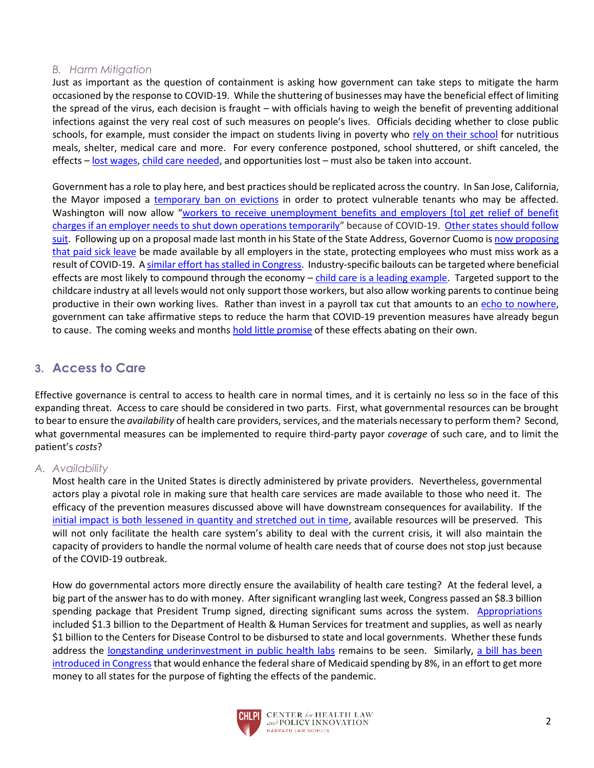#### *B. Harm Mitigation*

Just as important as the question of containment is asking how government can take steps to mitigate the harm occasioned by the response to COVID-19. While the shuttering of businesses may have the beneficial effect of limiting the spread of the virus, each decision is fraught – with officials having to weigh the benefit of preventing additional infections against the very real cost of such measures on people's lives. Officials deciding whether to close public schools, for example, must consider the impact on students living in poverty who [rely on their school](https://www.nytimes.com/2020/03/07/nyregion/nyc-schools-coronavirus.html) for nutritious meals, shelter, medical care and more. For every conference postponed, school shuttered, or shift canceled, the effects – [lost wages,](https://www.politico.com/news/2020/03/09/america-workers-outbreak-uncertainty-124191) [child care needed,](https://www.vox.com/2020/3/10/21171807/coronavirus-schools-closed-closing-covid-19-kids) and opportunities lost – must also be taken into account.

Government has a role to play here, and best practices should be replicated across the country. In San Jose, California, the Mayor imposed a [temporary ban on evictions](https://www.kron4.com/news/bay-area/moratorium-on-evictions-proposed-in-san-jose-due-to-coronavirus/) in order to protect vulnerable tenants who may be affected. Washington will now allow "workers to receive unemployment benefits and employers [to] get relief of benefit [charges if an employer needs to shut down operations temporarily](https://esd.wa.gov/newsroom/covid-19)" because of COVID-19. [Other states should follow](https://www.marketwatch.com/story/these-simple-changes-would-help-protect-the-economy-from-the-coronavirus-2020-03-02)  [suit.](https://www.marketwatch.com/story/these-simple-changes-would-help-protect-the-economy-from-the-coronavirus-2020-03-02) Following up on a proposal made last month in his State of the State Address, Governor Cuomo is now proposing [that paid sick leave](file:///C:/Users/rgreenwa/AppData/Local/Microsoft/Windows/INetCache/Content.Outlook/W8LK1NLQ/Governor%20Cuomo’s%20emergency%20powers%20act%20included%20amendments%20to%20the) be made available by all employers in the state, protecting employees who must miss work as a result of COVID-19. [A similar effort has stalled in Congress.](https://thehill.com/homenews/senate/487113-gop-chairman-blocks-quick-passage-of-paid-sick-leave-bill) Industry-specific bailouts can be targeted where beneficial effects are most likely to compound through the economy – [child care is a leading example.](https://twitter.com/ramskull/status/1237369390913523714?s=20) Targeted support to the childcare industry at all levels would not only support those workers, but also allow working parents to continue being productive in their own working lives. Rather than invest in a payroll tax cut that amounts to an [echo to nowhere,](https://www.theguardian.com/business/2020/mar/10/at-and-t-layoffs-jobs-slashed-trump-tax-cuts) government can take affirmative steps to reduce the harm that COVID-19 prevention measures have already begun to cause. The coming weeks and months [hold little promise](https://www.cnbc.com/2020/03/10/coronavirus-cases-could-reach-64000-in-washington-state-by-may-governor-says.html) of these effects abating on their own.

## **3. Access to Care**

Effective governance is central to access to health care in normal times, and it is certainly no less so in the face of this expanding threat. Access to care should be considered in two parts. First, what governmental resources can be brought to bear to ensure the *availability* of health care providers, services, and the materials necessary to perform them? Second, what governmental measures can be implemented to require third-party payor *coverage* of such care, and to limit the patient's *costs*?

#### *A. Availability*

Most health care in the United States is directly administered by private providers. Nevertheless, governmental actors play a pivotal role in making sure that health care services are made available to those who need it. The efficacy of the prevention measures discussed above will have downstream consequences for availability. If the [initial impact is both lessened in quantity and stretched out in time,](https://www.flattenthecurve.com/?fbclid=IwAR0m-erP6XMH_Rmx7kJC_laL0o0Pd_gRMRtQFg1q_cM0Xf9QWQf8hwUJ188) available resources will be preserved. This will not only facilitate the health care system's ability to deal with the current crisis, it will also maintain the capacity of providers to handle the normal volume of health care needs that of course does not stop just because of the COVID-19 outbreak.

How do governmental actors more directly ensure the availability of health care testing? At the federal level, a big part of the answer has to do with money. After significant wrangling last week, Congress passed an \$8.3 billion spending package that President Trump signed, directing significant sums across the system. [Appropriations](https://www.npr.org/sections/health-shots/2020/03/06/812964894/where-that-8-3-billion-in-u-s-coronavirus-funding-will-and-wont-go) included \$1.3 billion to the Department of Health & Human Services for treatment and supplies, as well as nearly \$1 billion to the Centers for Disease Control to be disbursed to state and local governments. Whether these funds address the [longstanding underinvestment in public health labs](https://www.cnbc.com/2020/03/10/coronavirus-testing-delays-caused-in-part-by-underfunding-cdc-director-says.html) remains to be seen. Similarly, a bill has been [introduced in Congress](https://rules.house.gov/sites/democrats.rules.house.gov/files/BILLS-116hr6201ih.pdf) that would enhance the federal share of Medicaid spending by 8%, in an effort to get more money to all states for the purpose of fighting the effects of the pandemic.

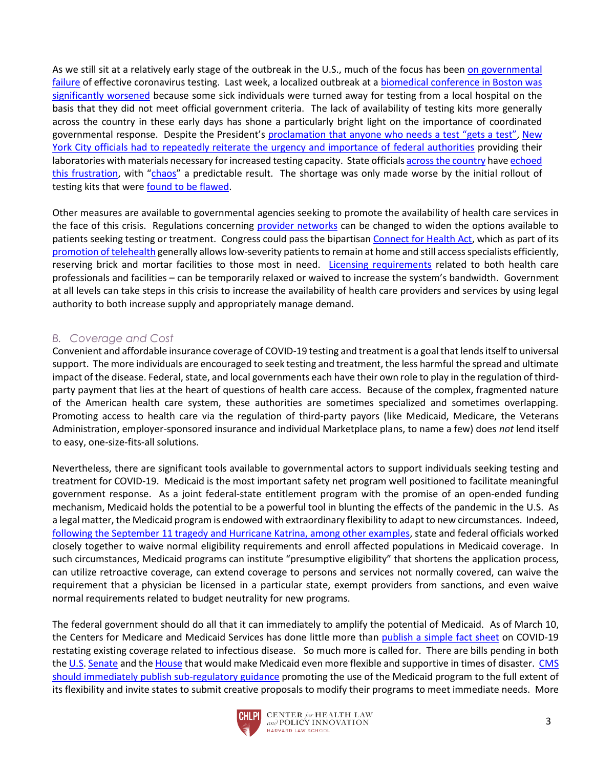As we still sit at a relatively early stage of the outbreak in the U.S., much of the focus has been on governmental [failure](https://www.theatlantic.com/health/archive/2020/03/how-many-americans-have-been-tested-coronavirus/607597/) of effective coronavirus testing. Last week, a localized outbreak at [a biomedical conference in Boston was](https://www.bostonglobe.com/2020/03/11/nation/how-biogen-leadership-conference-boston-spread-coronavirus/)  [significantly worsened](https://www.bostonglobe.com/2020/03/11/nation/how-biogen-leadership-conference-boston-spread-coronavirus/) because some sick individuals were turned away for testing from a local hospital on the basis that they did not meet official government criteria. The lack of availability of testing kits more generally across the country in these early days has shone a particularly bright light on the importance of coordinated governmental response. Despite the President's [proclamation that anyone who needs a test](https://www.nytimes.com/2020/03/06/health/testing-coronavirus.html) "gets a test", [New](https://int.nyt.com/data/documenthelper/6806-coronavirus-letter-de-blasio/227105ca718a5143a4b4/optimized/full.pdf#page=1)  [York City officials had to repeatedly reiterate the urgency and importance of federal authorities](https://int.nyt.com/data/documenthelper/6806-coronavirus-letter-de-blasio/227105ca718a5143a4b4/optimized/full.pdf#page=1) providing their laboratories with materials necessary for increased testing capacity. State official[s across the country](https://timesofsandiego.com/tech/2020/02/29/california-faces-shortage-of-coronavirus-test-kits-and-specialized-face-masks/) hav[e echoed](https://www.nbcchicago.com/news/local/pritzker-demands-federal-government-provide-leadership-urges-more-tests-in-illinois-as-coronavirus-cases-rise-in-illinois/2234510/)  [this frustration](https://www.nbcchicago.com/news/local/pritzker-demands-federal-government-provide-leadership-urges-more-tests-in-illinois-as-coronavirus-cases-rise-in-illinois/2234510/), with "[chaos](https://www.latimes.com/science/story/2020-03-06/chaos-at-hospitals-due-to-shortage-of-coronavirus-tests)" a predictable result. The shortage was only made worse by the initial rollout of testing kits that were [found to be flawed.](https://www.nytimes.com/2020/02/12/health/coronavirus-test-kits-cdc.html)

Other measures are available to governmental agencies seeking to promote the availability of health care services in the face of this crisis. Regulations concerning [provider networks](https://twitter.com/johngraves9/status/1237479100979113984?s=20) can be changed to widen the options available to patients seeking testing or treatment. Congress could pass the bipartisa[n Connect for Health Act,](https://www.cardin.senate.gov/imo/media/doc/CONNECT%20for%20Health%20Act%20of%202019%20FINAL.pdf) which as part of its [promotion of telehealth](https://www.modernhealthcare.com/opinion-editorial/congress-must-act-ensure-telehealth-can-be-used-combat-coronavirus) generally allows low-severity patients to remain at home and still access specialists efficiently, reserving brick and mortar facilities to those most in need. [Licensing requirements](https://www.cms.gov/Medicare/Provider-Enrollment-and-Certification/SurveyCertEmergPrep/Downloads/1135-Waivers-At-A-Glance.pdf) related to both health care professionals and facilities – can be temporarily relaxed or waived to increase the system's bandwidth. Government at all levels can take steps in this crisis to increase the availability of health care providers and services by using legal authority to both increase supply and appropriately manage demand.

#### *B. Coverage and Cost*

Convenient and affordable insurance coverage of COVID-19 testing and treatment is a goal that lends itself to universal support. The more individuals are encouraged to seek testing and treatment, the less harmful the spread and ultimate impact of the disease. Federal, state, and local governments each have their own role to play in the regulation of thirdparty payment that lies at the heart of questions of health care access. Because of the complex, fragmented nature of the American health care system, these authorities are sometimes specialized and sometimes overlapping. Promoting access to health care via the regulation of third-party payors (like Medicaid, Medicare, the Veterans Administration, employer-sponsored insurance and individual Marketplace plans, to name a few) does *not* lend itself to easy, one-size-fits-all solutions.

Nevertheless, there are significant tools available to governmental actors to support individuals seeking testing and treatment for COVID-19. Medicaid is the most important safety net program well positioned to facilitate meaningful government response. As a joint federal-state entitlement program with the promise of an open-ended funding mechanism, Medicaid holds the potential to be a powerful tool in blunting the effects of the pandemic in the U.S. As a legal matter, the Medicaid program is endowed with extraordinary flexibility to adapt to new circumstances. Indeed, [following the September 11 tragedy and Hurricane Katrina, among other examples,](https://www.macpac.gov/wp-content/uploads/2018/03/Medicaids-Role-in-Disasters-and-Public-Health-Emergencies.pdf) state and federal officials worked closely together to waive normal eligibility requirements and enroll affected populations in Medicaid coverage. In such circumstances, Medicaid programs can institute "presumptive eligibility" that shortens the application process, can utilize retroactive coverage, can extend coverage to persons and services not normally covered, can waive the requirement that a physician be licensed in a particular state, exempt providers from sanctions, and even waive normal requirements related to budget neutrality for new programs.

The federal government should do all that it can immediately to amplify the potential of Medicaid. As of March 10, the Centers for Medicare and Medicaid Services has done little more than [publish a simple fact sheet](https://www.cms.gov/files/document/03052020-medicaid-covid-19-fact-sheet.pdf) on COVID-19 restating existing coverage related to infectious disease. So much more is called for. There are bills pending in both the [U.S.](https://www.aging.senate.gov/imo/media/doc/DRMA%20One%20Pager%20and%20Section-by-Section.pdf) [Senate](https://www.govtrack.us/congress/bills/116/s1754/text) and the [House](https://www.congress.gov/bill/116th-congress/house-bill/3215?q=%7B%22search%22%3A%5B%22Medicaid+assistance+to+individuals+and+families+affected+by+a+disaster+or+emergency%2C+and+for+other+purposes.%22%5D%7D&s=1&r=1) that would make Medicaid even more flexible and supportive in times of disaster. [CMS](https://www.commonwealthfund.org/blog/2020/medicaid-and-coronavirus-putting-nations-largest-health-care-first-responder-work)  [should immediately publish sub-regulatory guidance](https://www.commonwealthfund.org/blog/2020/medicaid-and-coronavirus-putting-nations-largest-health-care-first-responder-work) promoting the use of the Medicaid program to the full extent of its flexibility and invite states to submit creative proposals to modify their programs to meet immediate needs. More

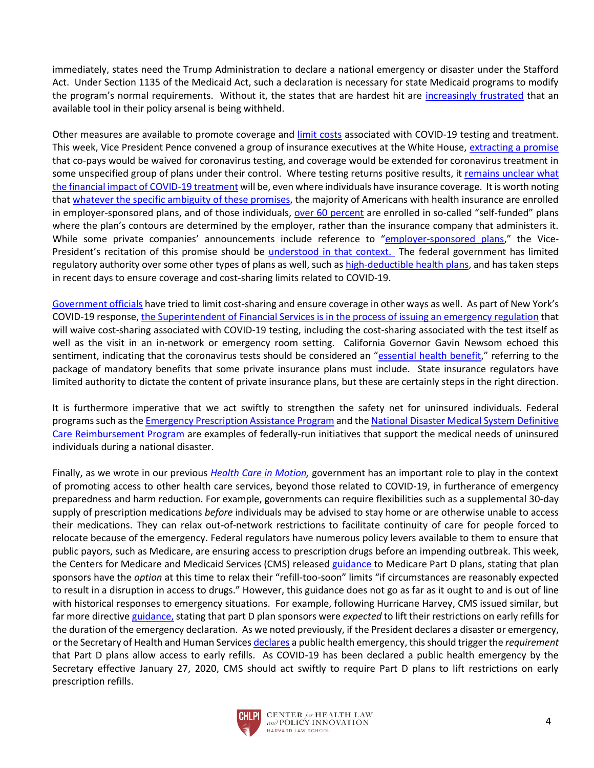immediately, states need the Trump Administration to declare a national emergency or disaster under the Stafford Act. Under Section 1135 of the Medicaid Act, such a declaration is necessary for state Medicaid programs to modify the program's normal requirements. Without it, the states that are hardest hit are [increasingly frustrated](https://talkingpointsmemo.com/muckraker/exclusive-why-washington-state-is-desperate-for-trump-to-declare-a-covid-19-emergency) that an available tool in their policy arsenal is being withheld.

Other measures are available to promote coverage and [limit costs](https://twitter.com/RepKatiePorter/status/1238147835859779584?s=20) associated with COVID-19 testing and treatment. This week, Vice President Pence convened a group of insurance executives at the White House, [extracting a promise](https://www.youtube.com/watch?v=I1C1taeQyes) that co-pays would be waived for coronavirus testing, and coverage would be extended for coronavirus treatment in some unspecified group of plans under their control. Where testing returns positive results, it [remains unclear what](https://www.athoshealth.com/insights/while-the-test-for-the-coronavirus-is-free-the-costs-for-treatment-and-the-hospital-trip-could-cost-you-thousands)  [the financial impact of COVID-19 treatment](https://www.athoshealth.com/insights/while-the-test-for-the-coronavirus-is-free-the-costs-for-treatment-and-the-hospital-trip-could-cost-you-thousands) will be, even where individuals have insurance coverage. It is worth noting that [whatever the specific ambiguity of these promises,](https://twitter.com/owermohle/status/1237922717699014658?s=20) the majority of Americans with health insurance are enrolled in employer-sponsored plans, and of those individuals, [over 60 percent](https://www.kff.org/report-section/2018-employer-health-benefits-survey-section-10-plan-funding/) are enrolled in so-called "self-funded" plans where the plan's contours are determined by the employer, rather than the insurance company that administers it. While some private companies' announcements include reference to "[employer-sponsored plans](https://www.prnewswire.com/news-releases/cigna-covers-cost-of-coronavirus-tests-for-customers-301018699.html)," the Vice-President's recitation of this promise should be [understood in that context.](https://theincidentaleconomist.com/wordpress/why-state-efforts-to-mandate-coronavirus-testing-will-fall-short/) The federal government has limited regulatory authority over some other types of plans as well, such a[s high-deductible health plans,](https://www.irs.gov/pub/irs-drop/n-20-15.pdf) and has taken steps in recent days to ensure coverage and cost-sharing limits related to COVID-19.

[Government officials](https://twitter.com/GovernorsOffice/status/1237116346833518593?s=20) have tried to limit cost-sharing and ensure coverage in other ways as well. As part of New York's COVID-19 response[, the Superintendent of Financial Services is in the process of issuing an emergency regulation](https://www.dfs.ny.gov/industry_guidance/circular_letters/cl2020_03) that will waive cost-sharing associated with COVID-19 testing, including the cost-sharing associated with the test itself as well as the visit in an in-network or emergency room setting. California Governor Gavin Newsom echoed this sentiment, indicating that the coronavirus tests should be considered an "[essential health benefit,](https://www.latimes.com/california/story/2020-03-05/california-demands-insurers-cover-cost-of-coronavirus-testing-and-screenings)" referring to the package of mandatory benefits that some private insurance plans must include. State insurance regulators have limited authority to dictate the content of private insurance plans, but these are certainly steps in the right direction.

It is furthermore imperative that we act swiftly to strengthen the safety net for uninsured individuals. Federal programs such as the **Emergency Prescription Assistance Program** and the **National Disaster Medical System Definitive** [Care Reimbursement Program](https://www.phe.gov/Preparedness/responders/ndms/definitive-care/Pages/default.aspx) are examples of federally-run initiatives that support the medical needs of uninsured individuals during a national disaster.

Finally, as we wrote in our previous *[Health Care in Motion,](https://www.chlpi.org/wp-content/uploads/2013/12/HCIM_3_5_20.pdf)* government has an important role to play in the context of promoting access to other health care services, beyond those related to COVID-19, in furtherance of emergency preparedness and harm reduction. For example, governments can require flexibilities such as a supplemental 30-day supply of prescription medications *before* individuals may be advised to stay home or are otherwise unable to access their medications. They can relax out-of-network restrictions to facilitate continuity of care for people forced to relocate because of the emergency. Federal regulators have numerous policy levers available to them to ensure that public payors, such as Medicare, are ensuring access to prescription drugs before an impending outbreak. This week, the Centers for Medicare and Medicaid Services (CMS) release[d guidance](https://www.cms.gov/files/document/hpms-memo-covid-information-plans.pdf) to Medicare Part D plans, stating that plan sponsors have the *option* at this time to relax their "refill-too-soon" limits "if circumstances are reasonably expected to result in a disruption in access to drugs." However, this guidance does not go as far as it ought to and is out of line with historical responses to emergency situations. For example, following Hurricane Harvey, CMS issued similar, but far more directive [guidance,](https://www.cms.gov/About-CMS/Agency-Information/Emergency/Downloads/Reminder-Pharmacy-Provider-Federal-Disaster.pdf) stating that part D plan sponsors were *expected* to lift their restrictions on early refills for the duration of the emergency declaration. As we noted previously, if the President declares a disaster or emergency, or the Secretary of Health and Human Service[s declares](https://www.phe.gov/emergency/news/healthactions/phe/Pages/2019-nCoV.aspx) a public health emergency, this should trigger the *requirement*  that Part D plans allow access to early refills. As COVID-19 has been declared a public health emergency by the Secretary effective January 27, 2020, CMS should act swiftly to require Part D plans to lift restrictions on early prescription refills.

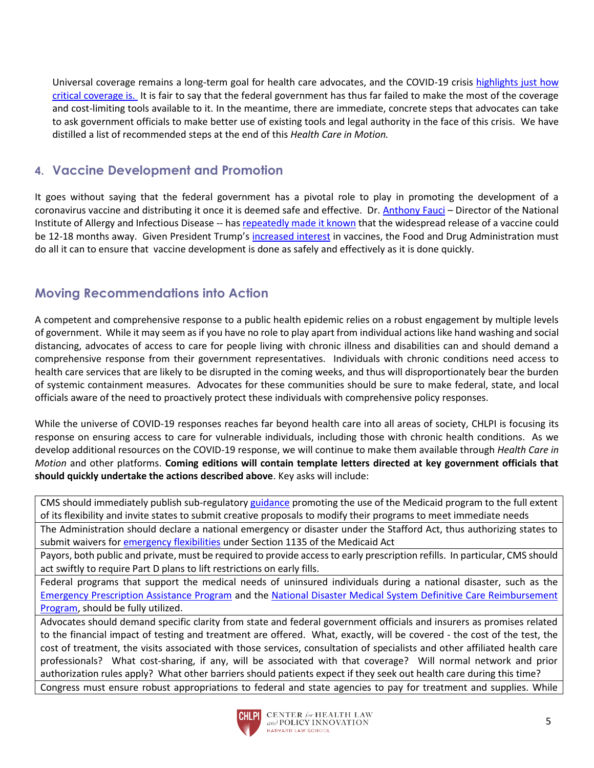Universal coverage remains a long-term goal for health care advocates, and the COVID-19 crisis [highlights just how](https://bangordailynews.com/2020/03/10/opinion/contributors/without-universal-health-care-coronavirus-puts-us-all-at-risk/)  [critical coverage is.](https://bangordailynews.com/2020/03/10/opinion/contributors/without-universal-health-care-coronavirus-puts-us-all-at-risk/) It is fair to say that the federal government has thus far failed to make the most of the coverage and cost-limiting tools available to it. In the meantime, there are immediate, concrete steps that advocates can take to ask government officials to make better use of existing tools and legal authority in the face of this crisis. We have distilled a list of recommended steps at the end of this *Health Care in Motion.*

## **4. Vaccine Development and Promotion**

It goes without saying that the federal government has a pivotal role to play in promoting the development of a coronavirus vaccine and distributing it once it is deemed safe and effective. Dr. [Anthony Fauci](https://www.niaid.nih.gov/about/anthony-s-fauci-md-bio) – Director of the National Institute of Allergy and Infectious Disease -- has [repeatedly made it known](https://www.youtube.com/watch?v=T62sIp1TR5o) that the widespread release of a vaccine could be 12-18 months away. Given President Trump's [increased](https://www.nytimes.com/2020/03/09/health/trump-vaccines.html) interest in vaccines, the Food and Drug Administration must do all it can to ensure that vaccine development is done as safely and effectively as it is done quickly.

## **Moving Recommendations into Action**

A competent and comprehensive response to a public health epidemic relies on a robust engagement by multiple levels of government. While it may seem as if you have no role to play apart from individual actions like hand washing and social distancing, advocates of access to care for people living with chronic illness and disabilities can and should demand a comprehensive response from their government representatives. Individuals with chronic conditions need access to health care services that are likely to be disrupted in the coming weeks, and thus will disproportionately bear the burden of systemic containment measures. Advocates for these communities should be sure to make federal, state, and local officials aware of the need to proactively protect these individuals with comprehensive policy responses.

While the universe of COVID-19 responses reaches far beyond health care into all areas of society, CHLPI is focusing its response on ensuring access to care for vulnerable individuals, including those with chronic health conditions. As we develop additional resources on the COVID-19 response, we will continue to make them available through *Health Care in Motion* and other platforms. **Coming editions will contain template letters directed at key government officials that should quickly undertake the actions described above**. Key asks will include:

CMS should immediately publish sub-regulatory [guidance](https://www.commonwealthfund.org/blog/2020/medicaid-and-coronavirus-putting-nations-largest-health-care-first-responder-work) promoting the use of the Medicaid program to the full extent of its flexibility and invite states to submit creative proposals to modify their programs to meet immediate needs

The Administration should declare a national emergency or disaster under the Stafford Act, thus authorizing states to submit waivers for [emergency flexibilities](https://www.cms.gov/About-CMS/Agency-Information/Emergency/Downloads/MedicareFFS-EmergencyQsAs1135Waiver.pdf) under Section 1135 of the Medicaid Act

Payors, both public and private, must be required to provide access to early prescription refills. In particular, CMS should act swiftly to require Part D plans to lift restrictions on early fills.

Federal programs that support the medical needs of uninsured individuals during a national disaster, such as the [Emergency Prescription Assistance Program](https://www.phe.gov/Preparedness/planning/epap/Pages/about-epap.aspx) and the [National Disaster Medical System Definitive Care Reimbursement](https://www.phe.gov/Preparedness/responders/ndms/definitive-care/Pages/default.aspx)  [Program,](https://www.phe.gov/Preparedness/responders/ndms/definitive-care/Pages/default.aspx) should be fully utilized.

Advocates should demand specific clarity from state and federal government officials and insurers as promises related to the financial impact of testing and treatment are offered. What, exactly, will be covered - the cost of the test, the cost of treatment, the visits associated with those services, consultation of specialists and other affiliated health care professionals? What cost-sharing, if any, will be associated with that coverage? Will normal network and prior authorization rules apply? What other barriers should patients expect if they seek out health care during this time? Congress must ensure robust appropriations to federal and state agencies to pay for treatment and supplies. While